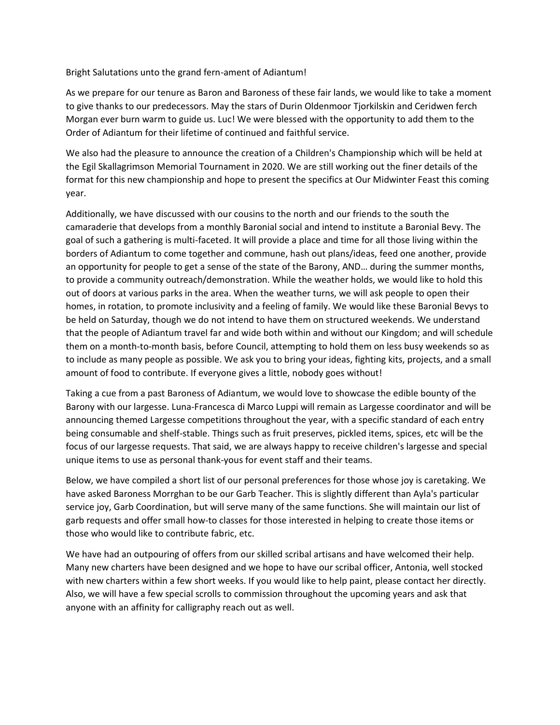Bright Salutations unto the grand fern-ament of Adiantum!

As we prepare for our tenure as Baron and Baroness of these fair lands, we would like to take a moment to give thanks to our predecessors. May the stars of Durin Oldenmoor Tjorkilskin and Ceridwen ferch Morgan ever burn warm to guide us. Luc! We were blessed with the opportunity to add them to the Order of Adiantum for their lifetime of continued and faithful service.

We also had the pleasure to announce the creation of a Children's Championship which will be held at the Egil Skallagrimson Memorial Tournament in 2020. We are still working out the finer details of the format for this new championship and hope to present the specifics at Our Midwinter Feast this coming year.

Additionally, we have discussed with our cousins to the north and our friends to the south the camaraderie that develops from a monthly Baronial social and intend to institute a Baronial Bevy. The goal of such a gathering is multi-faceted. It will provide a place and time for all those living within the borders of Adiantum to come together and commune, hash out plans/ideas, feed one another, provide an opportunity for people to get a sense of the state of the Barony, AND… during the summer months, to provide a community outreach/demonstration. While the weather holds, we would like to hold this out of doors at various parks in the area. When the weather turns, we will ask people to open their homes, in rotation, to promote inclusivity and a feeling of family. We would like these Baronial Bevys to be held on Saturday, though we do not intend to have them on structured weekends. We understand that the people of Adiantum travel far and wide both within and without our Kingdom; and will schedule them on a month-to-month basis, before Council, attempting to hold them on less busy weekends so as to include as many people as possible. We ask you to bring your ideas, fighting kits, projects, and a small amount of food to contribute. If everyone gives a little, nobody goes without!

Taking a cue from a past Baroness of Adiantum, we would love to showcase the edible bounty of the Barony with our largesse. Luna-Francesca di Marco Luppi will remain as Largesse coordinator and will be announcing themed Largesse competitions throughout the year, with a specific standard of each entry being consumable and shelf-stable. Things such as fruit preserves, pickled items, spices, etc will be the focus of our largesse requests. That said, we are always happy to receive children's largesse and special unique items to use as personal thank-yous for event staff and their teams.

Below, we have compiled a short list of our personal preferences for those whose joy is caretaking. We have asked Baroness Morrghan to be our Garb Teacher. This is slightly different than Ayla's particular service joy, Garb Coordination, but will serve many of the same functions. She will maintain our list of garb requests and offer small how-to classes for those interested in helping to create those items or those who would like to contribute fabric, etc.

We have had an outpouring of offers from our skilled scribal artisans and have welcomed their help. Many new charters have been designed and we hope to have our scribal officer, Antonia, well stocked with new charters within a few short weeks. If you would like to help paint, please contact her directly. Also, we will have a few special scrolls to commission throughout the upcoming years and ask that anyone with an affinity for calligraphy reach out as well.